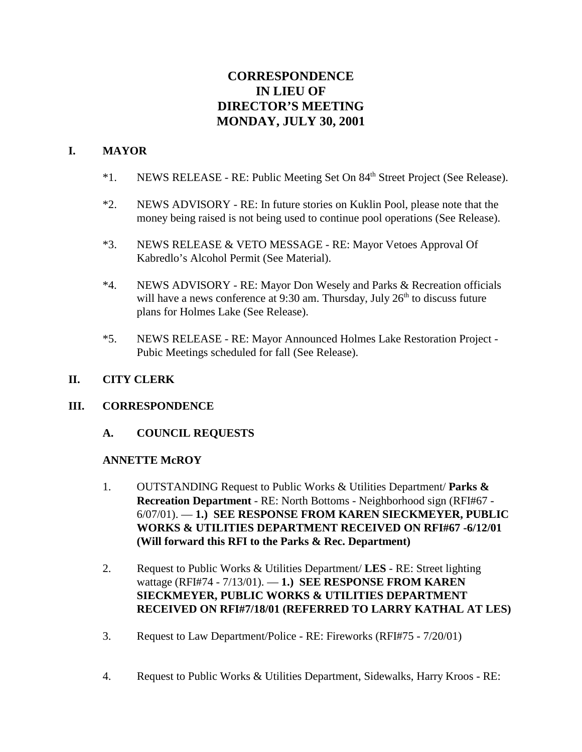# **CORRESPONDENCE IN LIEU OF DIRECTOR'S MEETING MONDAY, JULY 30, 2001**

### **I. MAYOR**

- \*1. NEWS RELEASE RE: Public Meeting Set On 84th Street Project (See Release).
- \*2. NEWS ADVISORY RE: In future stories on Kuklin Pool, please note that the money being raised is not being used to continue pool operations (See Release).
- \*3. NEWS RELEASE & VETO MESSAGE RE: Mayor Vetoes Approval Of Kabredlo's Alcohol Permit (See Material).
- \*4. NEWS ADVISORY RE: Mayor Don Wesely and Parks & Recreation officials will have a news conference at 9:30 am. Thursday, July  $26<sup>th</sup>$  to discuss future plans for Holmes Lake (See Release).
- \*5. NEWS RELEASE RE: Mayor Announced Holmes Lake Restoration Project Pubic Meetings scheduled for fall (See Release).

### **II. CITY CLERK**

### **III. CORRESPONDENCE**

**A. COUNCIL REQUESTS**

### **ANNETTE McROY**

- 1. OUTSTANDING Request to Public Works & Utilities Department/ **Parks & Recreation Department** - RE: North Bottoms - Neighborhood sign (RFI#67 - 6/07/01). — **1.) SEE RESPONSE FROM KAREN SIECKMEYER, PUBLIC WORKS & UTILITIES DEPARTMENT RECEIVED ON RFI#67 -6/12/01 (Will forward this RFI to the Parks & Rec. Department)**
- 2. Request to Public Works & Utilities Department/ **LES** RE: Street lighting wattage (RFI#74 - 7/13/01). — **1.) SEE RESPONSE FROM KAREN SIECKMEYER, PUBLIC WORKS & UTILITIES DEPARTMENT RECEIVED ON RFI#7/18/01 (REFERRED TO LARRY KATHAL AT LES)**
- 3. Request to Law Department/Police RE: Fireworks (RFI#75 7/20/01)
- 4. Request to Public Works & Utilities Department, Sidewalks, Harry Kroos RE: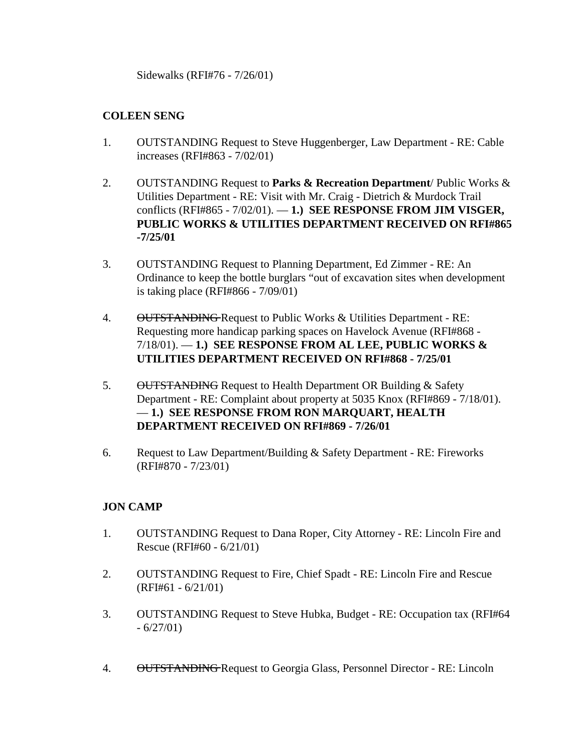Sidewalks (RFI#76 - 7/26/01)

### **COLEEN SENG**

- 1. OUTSTANDING Request to Steve Huggenberger, Law Department RE: Cable increases (RFI#863 - 7/02/01)
- 2. OUTSTANDING Request to **Parks & Recreation Department**/ Public Works & Utilities Department - RE: Visit with Mr. Craig - Dietrich & Murdock Trail conflicts (RFI#865 - 7/02/01). — **1.) SEE RESPONSE FROM JIM VISGER, PUBLIC WORKS & UTILITIES DEPARTMENT RECEIVED ON RFI#865 -7/25/01**
- 3. OUTSTANDING Request to Planning Department, Ed Zimmer RE: An Ordinance to keep the bottle burglars "out of excavation sites when development is taking place (RFI#866 - 7/09/01)
- 4. OUTSTANDING Request to Public Works & Utilities Department RE: Requesting more handicap parking spaces on Havelock Avenue (RFI#868 - 7/18/01). — **1.) SEE RESPONSE FROM AL LEE, PUBLIC WORKS & UTILITIES DEPARTMENT RECEIVED ON RFI#868 - 7/25/01**
- 5. OUTSTANDING Request to Health Department OR Building & Safety Department - RE: Complaint about property at 5035 Knox (RFI#869 - 7/18/01). — **1.) SEE RESPONSE FROM RON MARQUART, HEALTH DEPARTMENT RECEIVED ON RFI#869 - 7/26/01**
- 6. Request to Law Department/Building & Safety Department RE: Fireworks (RFI#870 - 7/23/01)

# **JON CAMP**

- 1. OUTSTANDING Request to Dana Roper, City Attorney RE: Lincoln Fire and Rescue (RFI#60 - 6/21/01)
- 2. OUTSTANDING Request to Fire, Chief Spadt RE: Lincoln Fire and Rescue (RFI#61 - 6/21/01)
- 3. OUTSTANDING Request to Steve Hubka, Budget RE: Occupation tax (RFI#64  $-6/27/01$
- 4. OUTSTANDING Request to Georgia Glass, Personnel Director RE: Lincoln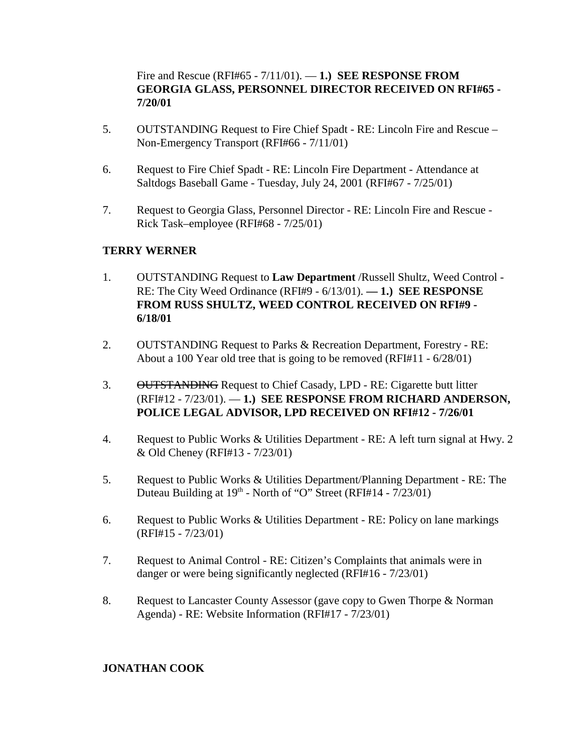Fire and Rescue (RFI#65 - 7/11/01). — **1.) SEE RESPONSE FROM GEORGIA GLASS, PERSONNEL DIRECTOR RECEIVED ON RFI#65 - 7/20/01**

- 5. OUTSTANDING Request to Fire Chief Spadt RE: Lincoln Fire and Rescue Non-Emergency Transport (RFI#66 - 7/11/01)
- 6. Request to Fire Chief Spadt RE: Lincoln Fire Department Attendance at Saltdogs Baseball Game - Tuesday, July 24, 2001 (RFI#67 - 7/25/01)
- 7. Request to Georgia Glass, Personnel Director RE: Lincoln Fire and Rescue Rick Task–employee (RFI#68 - 7/25/01)

# **TERRY WERNER**

- 1. OUTSTANDING Request to **Law Department** /Russell Shultz, Weed Control RE: The City Weed Ordinance (RFI#9 - 6/13/01). **— 1.) SEE RESPONSE FROM RUSS SHULTZ, WEED CONTROL RECEIVED ON RFI#9 - 6/18/01**
- 2. OUTSTANDING Request to Parks & Recreation Department, Forestry RE: About a 100 Year old tree that is going to be removed (RFI#11 - 6/28/01)
- 3. OUTSTANDING Request to Chief Casady, LPD RE: Cigarette butt litter (RFI#12 - 7/23/01). — **1.) SEE RESPONSE FROM RICHARD ANDERSON, POLICE LEGAL ADVISOR, LPD RECEIVED ON RFI#12 - 7/26/01**
- 4. Request to Public Works & Utilities Department RE: A left turn signal at Hwy. 2 & Old Cheney (RFI#13 - 7/23/01)
- 5. Request to Public Works & Utilities Department/Planning Department RE: The Duteau Building at  $19<sup>th</sup>$  - North of "O" Street (RFI#14 -  $7/23/01$ )
- 6. Request to Public Works & Utilities Department RE: Policy on lane markings (RFI#15 - 7/23/01)
- 7. Request to Animal Control RE: Citizen's Complaints that animals were in danger or were being significantly neglected (RFI#16 - 7/23/01)
- 8. Request to Lancaster County Assessor (gave copy to Gwen Thorpe & Norman Agenda) - RE: Website Information (RFI#17 - 7/23/01)

### **JONATHAN COOK**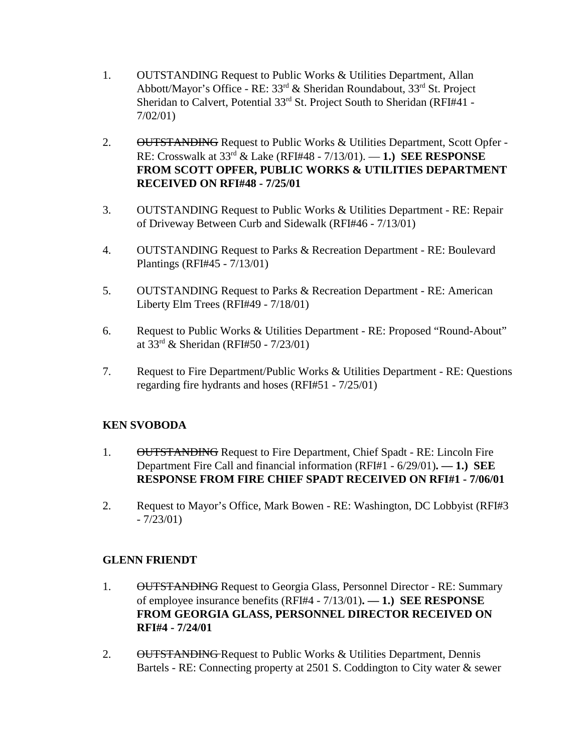- 1. OUTSTANDING Request to Public Works & Utilities Department, Allan Abbott/Mayor's Office - RE: 33rd & Sheridan Roundabout, 33rd St. Project Sheridan to Calvert, Potential 33<sup>rd</sup> St. Project South to Sheridan (RFI#41 -7/02/01)
- 2. OUTSTANDING Request to Public Works & Utilities Department, Scott Opfer -RE: Crosswalk at 33rd & Lake (RFI#48 - 7/13/01). — **1.) SEE RESPONSE FROM SCOTT OPFER, PUBLIC WORKS & UTILITIES DEPARTMENT RECEIVED ON RFI#48 - 7/25/01**
- 3. OUTSTANDING Request to Public Works & Utilities Department RE: Repair of Driveway Between Curb and Sidewalk (RFI#46 - 7/13/01)
- 4. OUTSTANDING Request to Parks & Recreation Department RE: Boulevard Plantings (RFI#45 - 7/13/01)
- 5. OUTSTANDING Request to Parks & Recreation Department RE: American Liberty Elm Trees (RFI#49 - 7/18/01)
- 6. Request to Public Works & Utilities Department RE: Proposed "Round-About" at  $33^{rd}$  & Sheridan (RFI#50 - 7/23/01)
- 7. Request to Fire Department/Public Works & Utilities Department RE: Questions regarding fire hydrants and hoses (RFI#51 - 7/25/01)

### **KEN SVOBODA**

- 1. OUTSTANDING Request to Fire Department, Chief Spadt RE: Lincoln Fire Department Fire Call and financial information (RFI#1 - 6/29/01)**. — 1.) SEE RESPONSE FROM FIRE CHIEF SPADT RECEIVED ON RFI#1 - 7/06/01**
- 2. Request to Mayor's Office, Mark Bowen RE: Washington, DC Lobbyist (RFI#3  $-7/23/01$

### **GLENN FRIENDT**

- 1. OUTSTANDING Request to Georgia Glass, Personnel Director RE: Summary of employee insurance benefits (RFI#4 - 7/13/01)**. — 1.) SEE RESPONSE FROM GEORGIA GLASS, PERSONNEL DIRECTOR RECEIVED ON RFI#4 - 7/24/01**
- 2. OUTSTANDING Request to Public Works & Utilities Department, Dennis Bartels - RE: Connecting property at 2501 S. Coddington to City water & sewer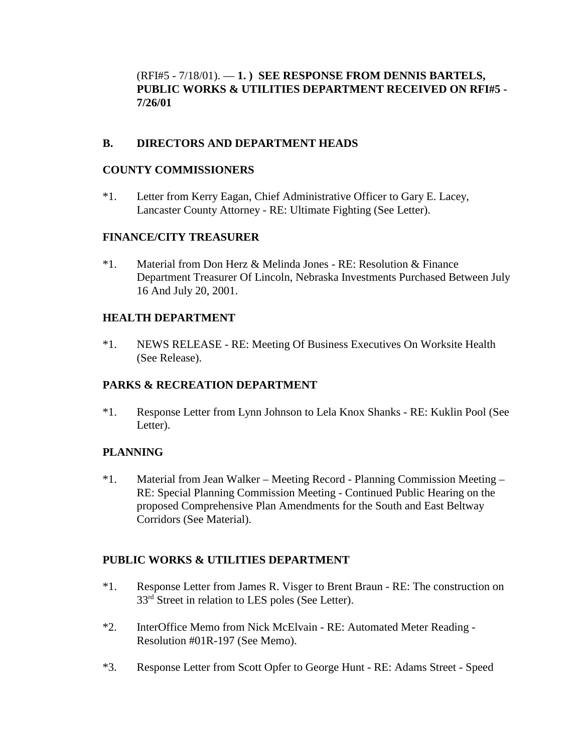(RFI#5 - 7/18/01). — **1. ) SEE RESPONSE FROM DENNIS BARTELS, PUBLIC WORKS & UTILITIES DEPARTMENT RECEIVED ON RFI#5 - 7/26/01**

### **B. DIRECTORS AND DEPARTMENT HEADS**

### **COUNTY COMMISSIONERS**

\*1. Letter from Kerry Eagan, Chief Administrative Officer to Gary E. Lacey, Lancaster County Attorney - RE: Ultimate Fighting (See Letter).

### **FINANCE/CITY TREASURER**

\*1. Material from Don Herz & Melinda Jones - RE: Resolution & Finance Department Treasurer Of Lincoln, Nebraska Investments Purchased Between July 16 And July 20, 2001.

### **HEALTH DEPARTMENT**

\*1. NEWS RELEASE - RE: Meeting Of Business Executives On Worksite Health (See Release).

# **PARKS & RECREATION DEPARTMENT**

\*1. Response Letter from Lynn Johnson to Lela Knox Shanks - RE: Kuklin Pool (See Letter).

# **PLANNING**

\*1. Material from Jean Walker – Meeting Record - Planning Commission Meeting – RE: Special Planning Commission Meeting - Continued Public Hearing on the proposed Comprehensive Plan Amendments for the South and East Beltway Corridors (See Material).

### **PUBLIC WORKS & UTILITIES DEPARTMENT**

- \*1. Response Letter from James R. Visger to Brent Braun RE: The construction on 33<sup>rd</sup> Street in relation to LES poles (See Letter).
- \*2. InterOffice Memo from Nick McElvain RE: Automated Meter Reading Resolution #01R-197 (See Memo).
- \*3. Response Letter from Scott Opfer to George Hunt RE: Adams Street Speed